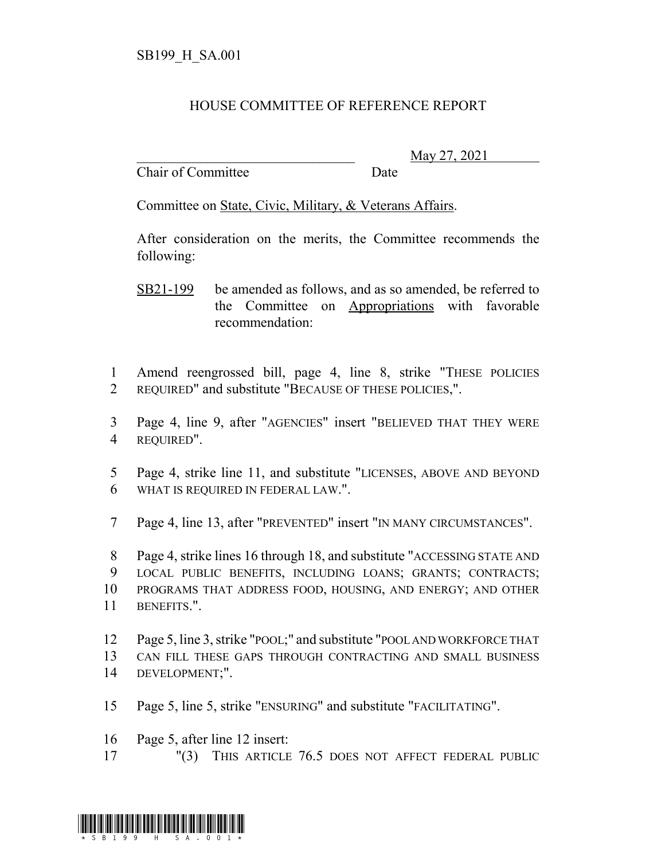## HOUSE COMMITTEE OF REFERENCE REPORT

Chair of Committee Date

\_\_\_\_\_\_\_\_\_\_\_\_\_\_\_\_\_\_\_\_\_\_\_\_\_\_\_\_\_\_\_ May 27, 2021

Committee on State, Civic, Military, & Veterans Affairs.

After consideration on the merits, the Committee recommends the following:

- 1 Amend reengrossed bill, page 4, line 8, strike "THESE POLICIES 2 REQUIRED" and substitute "BECAUSE OF THESE POLICIES,".
- 3 Page 4, line 9, after "AGENCIES" insert "BELIEVED THAT THEY WERE 4 REQUIRED".
- 5 Page 4, strike line 11, and substitute "LICENSES, ABOVE AND BEYOND 6 WHAT IS REQUIRED IN FEDERAL LAW.".
- 7 Page 4, line 13, after "PREVENTED" insert "IN MANY CIRCUMSTANCES".

 Page 4, strike lines 16 through 18, and substitute "ACCESSING STATE AND LOCAL PUBLIC BENEFITS, INCLUDING LOANS; GRANTS; CONTRACTS; PROGRAMS THAT ADDRESS FOOD, HOUSING, AND ENERGY; AND OTHER BENEFITS.".

12 Page 5, line 3, strike "POOL;" and substitute "POOL AND WORKFORCE THAT 13 CAN FILL THESE GAPS THROUGH CONTRACTING AND SMALL BUSINESS 14 DEVELOPMENT;".

- 15 Page 5, line 5, strike "ENSURING" and substitute "FACILITATING".
- 16 Page 5, after line 12 insert:
- 17 "(3) THIS ARTICLE 76.5 DOES NOT AFFECT FEDERAL PUBLIC



SB21-199 be amended as follows, and as so amended, be referred to the Committee on Appropriations with favorable recommendation: